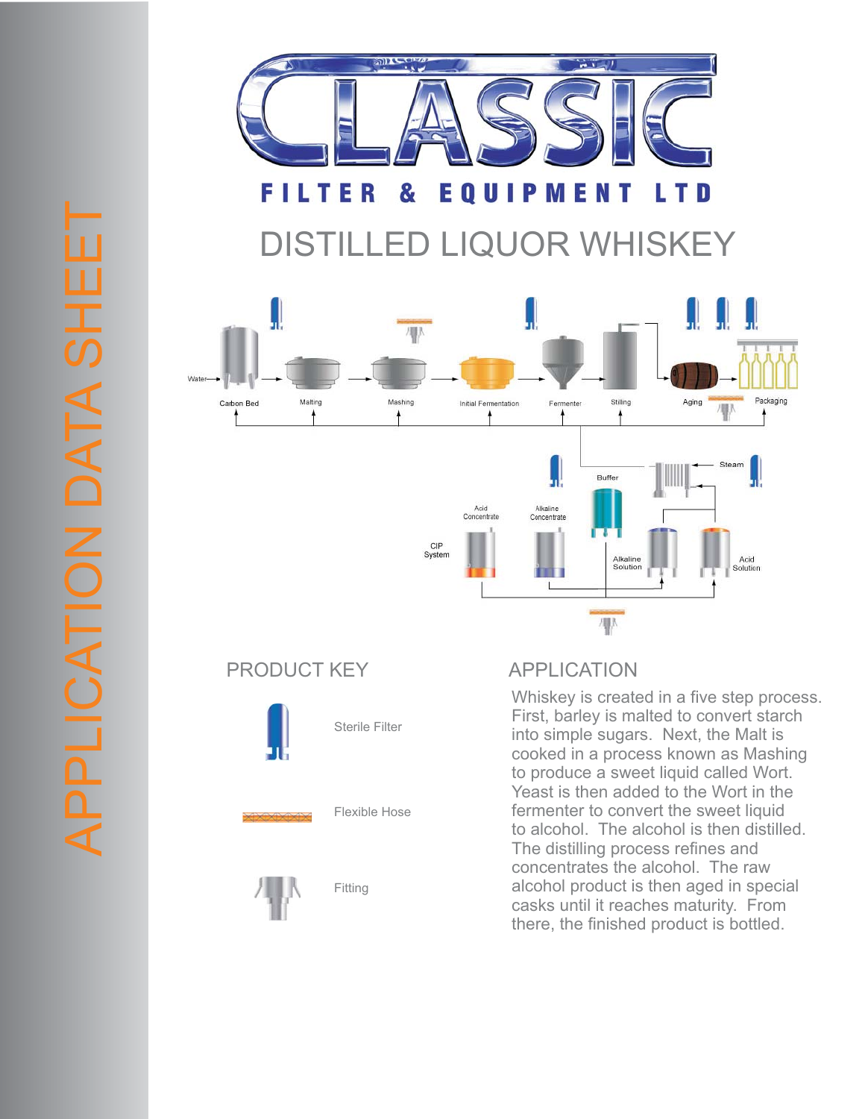

## DISTILLED LIQUOR WHISKEY





Whiskey is created in a five step process. First, barley is malted to convert starch into simple sugars. Next, the Malt is cooked in a process known as Mashing to produce a sweet liquid called Wort. Yeast is then added to the Wort in the fermenter to convert the sweet liquid to alcohol. The alcohol is then distilled. The distilling process refines and concentrates the alcohol. The raw alcohol product is then aged in special casks until it reaches maturity. From there, the finished product is bottled.